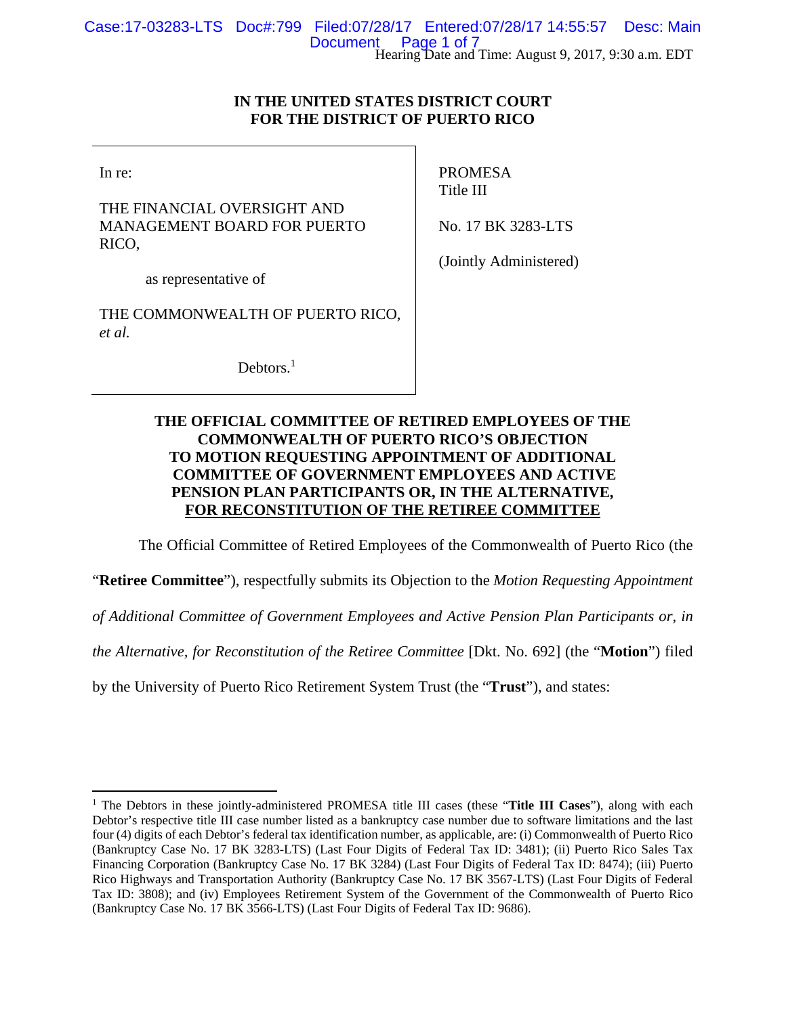## **IN THE UNITED STATES DISTRICT COURT FOR THE DISTRICT OF PUERTO RICO**

In re:

THE FINANCIAL OVERSIGHT AND MANAGEMENT BOARD FOR PUERTO RICO,

PROMESA Title III

No. 17 BK 3283-LTS

as representative of

THE COMMONWEALTH OF PUERTO RICO, *et al.*

Debtors.<sup>1</sup>

(Jointly Administered)

# **THE OFFICIAL COMMITTEE OF RETIRED EMPLOYEES OF THE COMMONWEALTH OF PUERTO RICO'S OBJECTION TO MOTION REQUESTING APPOINTMENT OF ADDITIONAL COMMITTEE OF GOVERNMENT EMPLOYEES AND ACTIVE PENSION PLAN PARTICIPANTS OR, IN THE ALTERNATIVE, FOR RECONSTITUTION OF THE RETIREE COMMITTEE**

The Official Committee of Retired Employees of the Commonwealth of Puerto Rico (the

"**Retiree Committee**"), respectfully submits its Objection to the *Motion Requesting Appointment* 

*of Additional Committee of Government Employees and Active Pension Plan Participants or, in* 

*the Alternative, for Reconstitution of the Retiree Committee* [Dkt. No. 692] (the "**Motion**") filed

by the University of Puerto Rico Retirement System Trust (the "**Trust**"), and states:

<sup>&</sup>lt;sup>1</sup> The Debtors in these jointly-administered PROMESA title III cases (these "Title III Cases"), along with each Debtor's respective title III case number listed as a bankruptcy case number due to software limitations and the last four (4) digits of each Debtor's federal tax identification number, as applicable, are: (i) Commonwealth of Puerto Rico (Bankruptcy Case No. 17 BK 3283-LTS) (Last Four Digits of Federal Tax ID: 3481); (ii) Puerto Rico Sales Tax Financing Corporation (Bankruptcy Case No. 17 BK 3284) (Last Four Digits of Federal Tax ID: 8474); (iii) Puerto Rico Highways and Transportation Authority (Bankruptcy Case No. 17 BK 3567-LTS) (Last Four Digits of Federal Tax ID: 3808); and (iv) Employees Retirement System of the Government of the Commonwealth of Puerto Rico (Bankruptcy Case No. 17 BK 3566-LTS) (Last Four Digits of Federal Tax ID: 9686).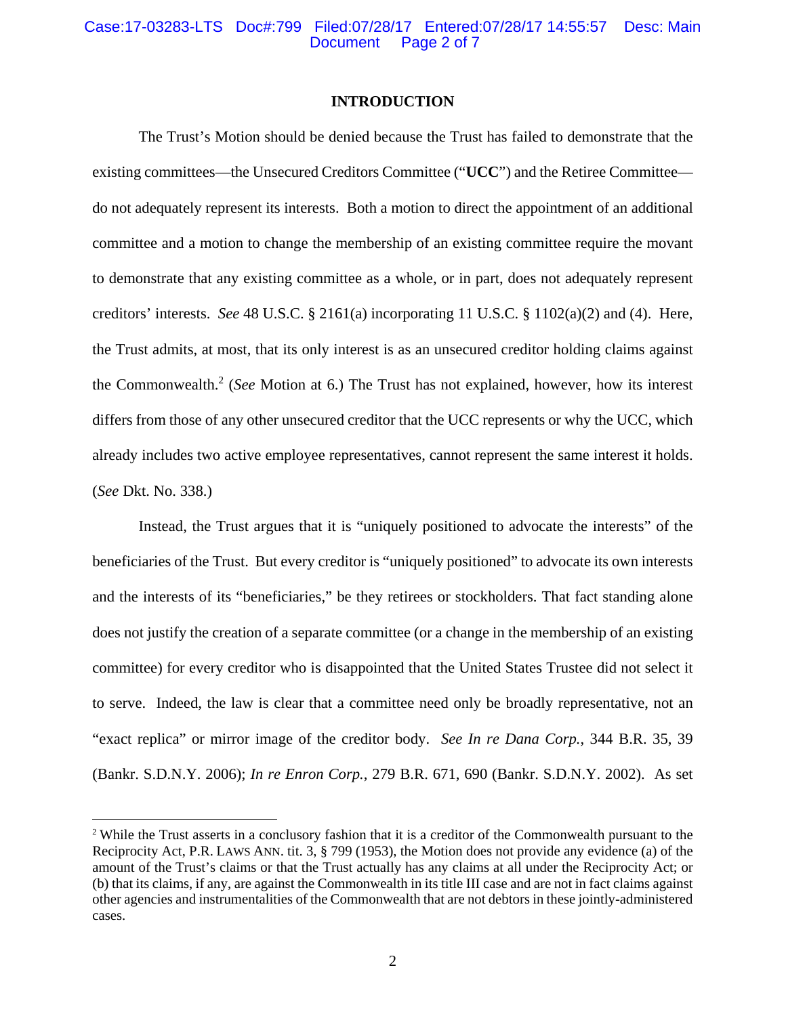### **INTRODUCTION**

The Trust's Motion should be denied because the Trust has failed to demonstrate that the existing committees—the Unsecured Creditors Committee ("**UCC**") and the Retiree Committee do not adequately represent its interests. Both a motion to direct the appointment of an additional committee and a motion to change the membership of an existing committee require the movant to demonstrate that any existing committee as a whole, or in part, does not adequately represent creditors' interests. *See* 48 U.S.C. § 2161(a) incorporating 11 U.S.C. § 1102(a)(2) and (4). Here, the Trust admits, at most, that its only interest is as an unsecured creditor holding claims against the Commonwealth.2 (*See* Motion at 6.) The Trust has not explained, however, how its interest differs from those of any other unsecured creditor that the UCC represents or why the UCC, which already includes two active employee representatives, cannot represent the same interest it holds. (*See* Dkt. No. 338.)

Instead, the Trust argues that it is "uniquely positioned to advocate the interests" of the beneficiaries of the Trust. But every creditor is "uniquely positioned" to advocate its own interests and the interests of its "beneficiaries," be they retirees or stockholders. That fact standing alone does not justify the creation of a separate committee (or a change in the membership of an existing committee) for every creditor who is disappointed that the United States Trustee did not select it to serve. Indeed, the law is clear that a committee need only be broadly representative, not an "exact replica" or mirror image of the creditor body. *See In re Dana Corp.*, 344 B.R. 35, 39 (Bankr. S.D.N.Y. 2006); *In re Enron Corp.*, 279 B.R. 671, 690 (Bankr. S.D.N.Y. 2002). As set

<sup>&</sup>lt;sup>2</sup> While the Trust asserts in a conclusory fashion that it is a creditor of the Commonwealth pursuant to the Reciprocity Act, P.R. LAWS ANN. tit. 3, § 799 (1953), the Motion does not provide any evidence (a) of the amount of the Trust's claims or that the Trust actually has any claims at all under the Reciprocity Act; or (b) that its claims, if any, are against the Commonwealth in its title III case and are not in fact claims against other agencies and instrumentalities of the Commonwealth that are not debtors in these jointly-administered cases.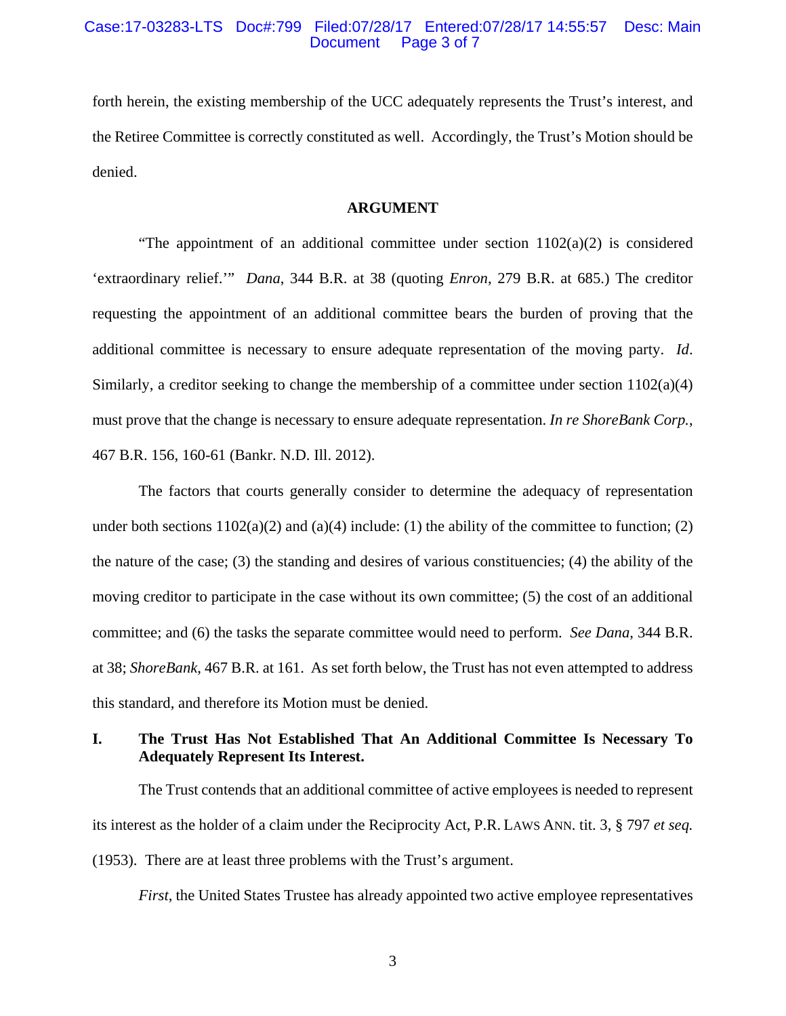### Case:17-03283-LTS Doc#:799 Filed:07/28/17 Entered:07/28/17 14:55:57 Desc: Main Page 3 of 7

forth herein, the existing membership of the UCC adequately represents the Trust's interest, and the Retiree Committee is correctly constituted as well. Accordingly, the Trust's Motion should be denied.

## **ARGUMENT**

"The appointment of an additional committee under section  $1102(a)(2)$  is considered 'extraordinary relief.'" *Dana*, 344 B.R. at 38 (quoting *Enron*, 279 B.R. at 685.) The creditor requesting the appointment of an additional committee bears the burden of proving that the additional committee is necessary to ensure adequate representation of the moving party. *Id*. Similarly, a creditor seeking to change the membership of a committee under section 1102(a)(4) must prove that the change is necessary to ensure adequate representation. *In re ShoreBank Corp.*, 467 B.R. 156, 160-61 (Bankr. N.D. Ill. 2012).

The factors that courts generally consider to determine the adequacy of representation under both sections  $1102(a)(2)$  and  $(a)(4)$  include: (1) the ability of the committee to function; (2) the nature of the case; (3) the standing and desires of various constituencies; (4) the ability of the moving creditor to participate in the case without its own committee; (5) the cost of an additional committee; and (6) the tasks the separate committee would need to perform. *See Dana*, 344 B.R. at 38; *ShoreBank*, 467 B.R. at 161. As set forth below, the Trust has not even attempted to address this standard, and therefore its Motion must be denied.

## **I. The Trust Has Not Established That An Additional Committee Is Necessary To Adequately Represent Its Interest.**

The Trust contends that an additional committee of active employees is needed to represent its interest as the holder of a claim under the Reciprocity Act, P.R. LAWS ANN. tit. 3, § 797 *et seq.* (1953). There are at least three problems with the Trust's argument.

*First*, the United States Trustee has already appointed two active employee representatives

3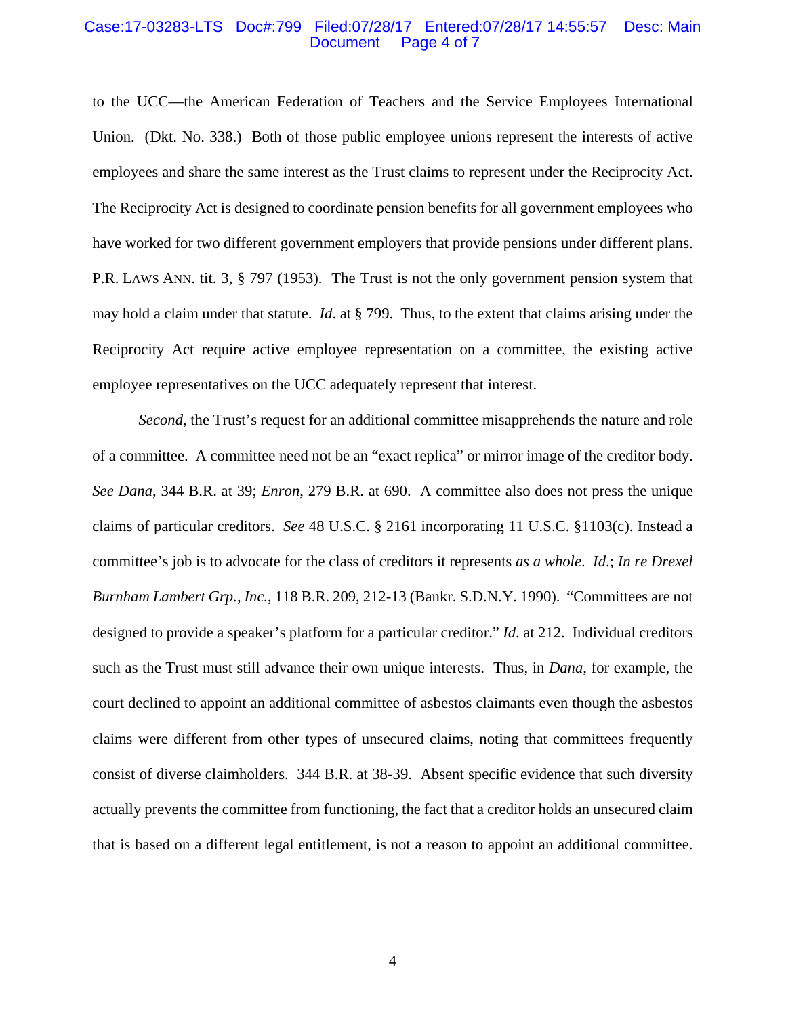#### Case:17-03283-LTS Doc#:799 Filed:07/28/17 Entered:07/28/17 14:55:57 Desc: Main Page 4 of 7

to the UCC—the American Federation of Teachers and the Service Employees International Union. (Dkt. No. 338.) Both of those public employee unions represent the interests of active employees and share the same interest as the Trust claims to represent under the Reciprocity Act. The Reciprocity Act is designed to coordinate pension benefits for all government employees who have worked for two different government employers that provide pensions under different plans. P.R. LAWS ANN. tit. 3, § 797 (1953). The Trust is not the only government pension system that may hold a claim under that statute. *Id*. at § 799. Thus, to the extent that claims arising under the Reciprocity Act require active employee representation on a committee, the existing active employee representatives on the UCC adequately represent that interest.

*Second*, the Trust's request for an additional committee misapprehends the nature and role of a committee. A committee need not be an "exact replica" or mirror image of the creditor body. *See Dana*, 344 B.R. at 39; *Enron*, 279 B.R. at 690. A committee also does not press the unique claims of particular creditors. *See* 48 U.S.C. § 2161 incorporating 11 U.S.C. §1103(c). Instead a committee's job is to advocate for the class of creditors it represents *as a whole*. *Id*.; *In re Drexel Burnham Lambert Grp., Inc.*, 118 B.R. 209, 212-13 (Bankr. S.D.N.Y. 1990). "Committees are not designed to provide a speaker's platform for a particular creditor." *Id*. at 212. Individual creditors such as the Trust must still advance their own unique interests. Thus, in *Dana*, for example, the court declined to appoint an additional committee of asbestos claimants even though the asbestos claims were different from other types of unsecured claims, noting that committees frequently consist of diverse claimholders. 344 B.R. at 38-39. Absent specific evidence that such diversity actually prevents the committee from functioning, the fact that a creditor holds an unsecured claim that is based on a different legal entitlement, is not a reason to appoint an additional committee.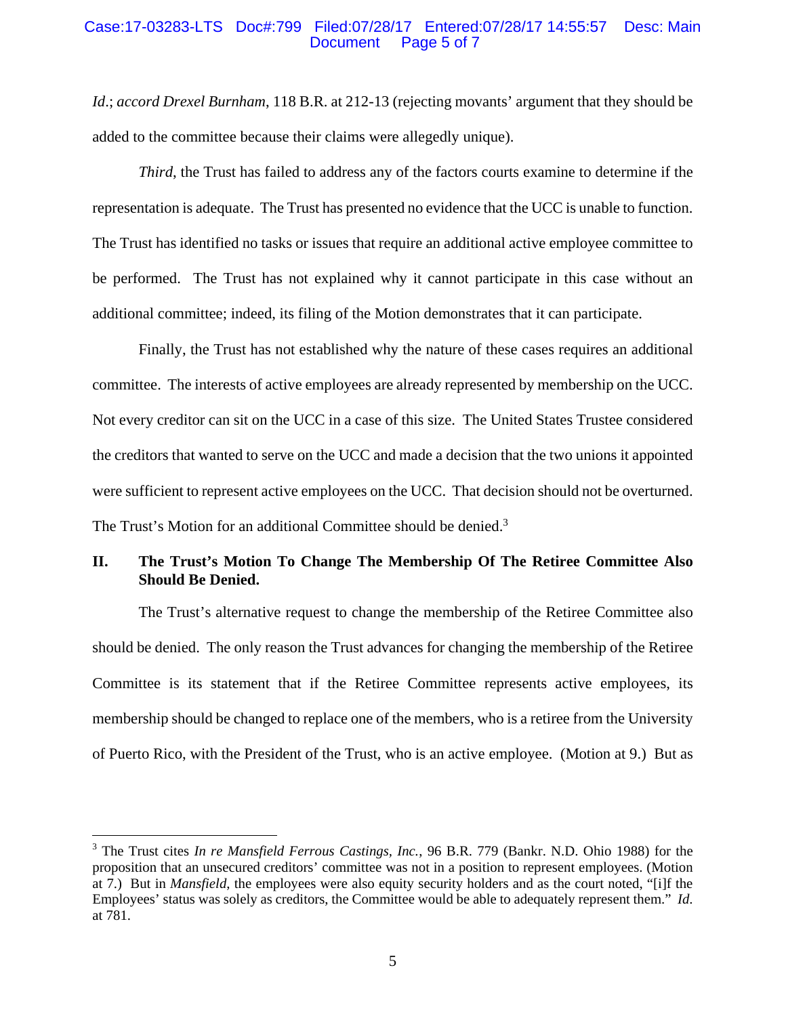### Case:17-03283-LTS Doc#:799 Filed:07/28/17 Entered:07/28/17 14:55:57 Desc: Main Document Page 5 of 7

*Id*.; *accord Drexel Burnham*, 118 B.R. at 212-13 (rejecting movants' argument that they should be added to the committee because their claims were allegedly unique).

*Third*, the Trust has failed to address any of the factors courts examine to determine if the representation is adequate. The Trust has presented no evidence that the UCC is unable to function. The Trust has identified no tasks or issues that require an additional active employee committee to be performed. The Trust has not explained why it cannot participate in this case without an additional committee; indeed, its filing of the Motion demonstrates that it can participate.

Finally, the Trust has not established why the nature of these cases requires an additional committee. The interests of active employees are already represented by membership on the UCC. Not every creditor can sit on the UCC in a case of this size. The United States Trustee considered the creditors that wanted to serve on the UCC and made a decision that the two unions it appointed were sufficient to represent active employees on the UCC. That decision should not be overturned. The Trust's Motion for an additional Committee should be denied.<sup>3</sup>

# **II. The Trust's Motion To Change The Membership Of The Retiree Committee Also Should Be Denied.**

The Trust's alternative request to change the membership of the Retiree Committee also should be denied. The only reason the Trust advances for changing the membership of the Retiree Committee is its statement that if the Retiree Committee represents active employees, its membership should be changed to replace one of the members, who is a retiree from the University of Puerto Rico, with the President of the Trust, who is an active employee. (Motion at 9.) But as

<sup>&</sup>lt;sup>3</sup> The Trust cites *In re Mansfield Ferrous Castings, Inc.*, 96 B.R. 779 (Bankr. N.D. Ohio 1988) for the proposition that an unsecured creditors' committee was not in a position to represent employees. (Motion at 7.) But in *Mansfield*, the employees were also equity security holders and as the court noted, "[i]f the Employees' status was solely as creditors, the Committee would be able to adequately represent them." *Id*. at 781.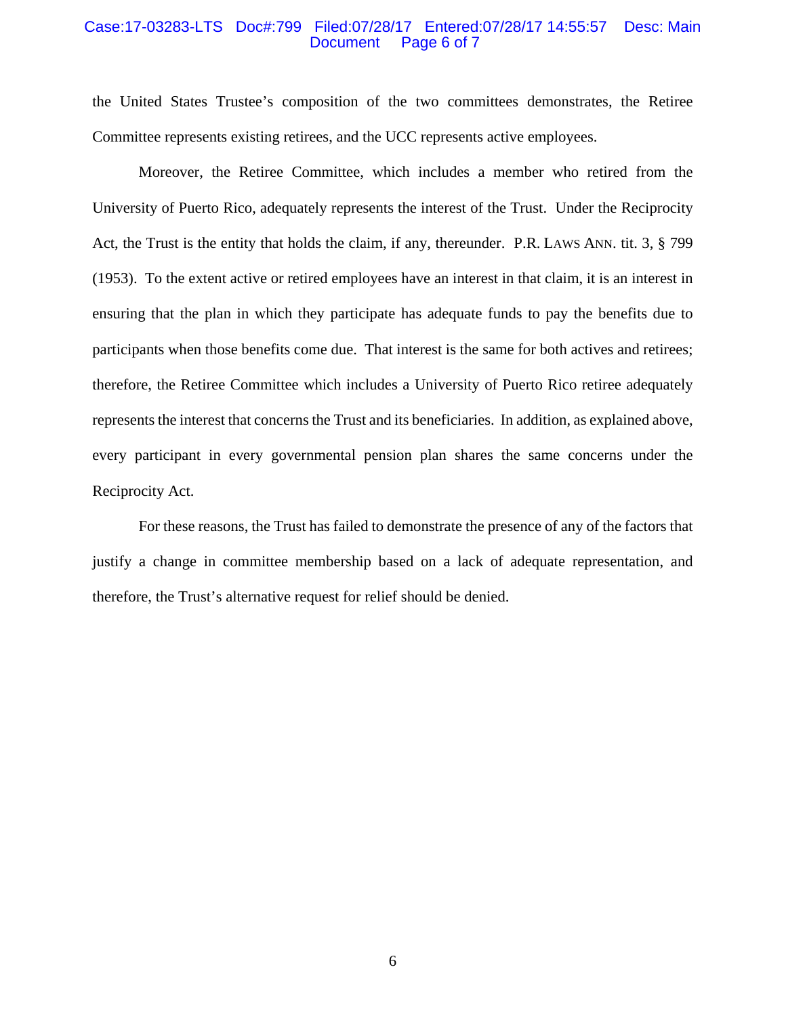#### Case:17-03283-LTS Doc#:799 Filed:07/28/17 Entered:07/28/17 14:55:57 Desc: Main Page 6 of 7

the United States Trustee's composition of the two committees demonstrates, the Retiree Committee represents existing retirees, and the UCC represents active employees.

Moreover, the Retiree Committee, which includes a member who retired from the University of Puerto Rico, adequately represents the interest of the Trust. Under the Reciprocity Act, the Trust is the entity that holds the claim, if any, thereunder. P.R. LAWS ANN. tit. 3, § 799 (1953). To the extent active or retired employees have an interest in that claim, it is an interest in ensuring that the plan in which they participate has adequate funds to pay the benefits due to participants when those benefits come due. That interest is the same for both actives and retirees; therefore, the Retiree Committee which includes a University of Puerto Rico retiree adequately represents the interest that concerns the Trust and its beneficiaries. In addition, as explained above, every participant in every governmental pension plan shares the same concerns under the Reciprocity Act.

For these reasons, the Trust has failed to demonstrate the presence of any of the factors that justify a change in committee membership based on a lack of adequate representation, and therefore, the Trust's alternative request for relief should be denied.